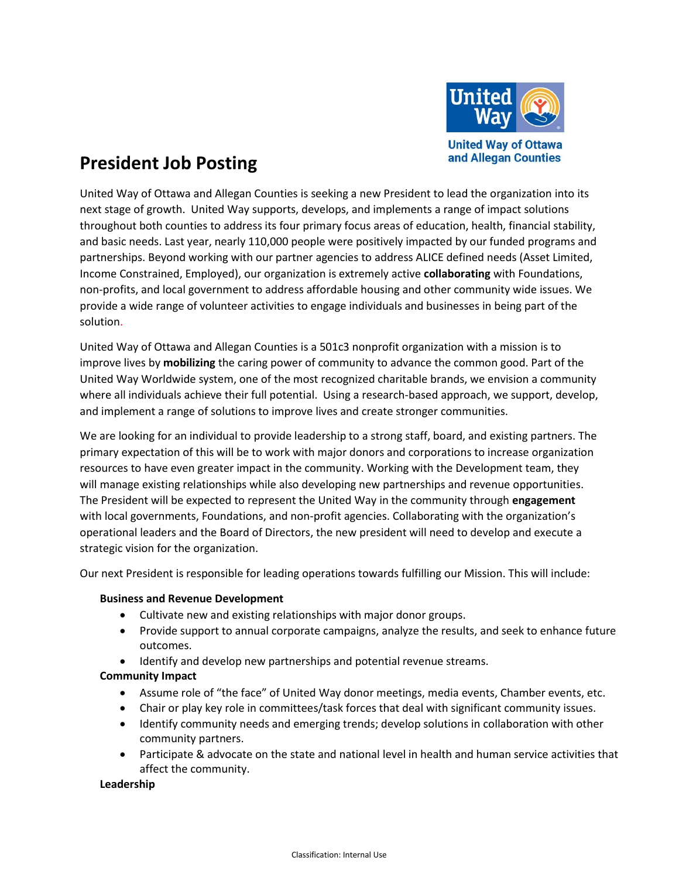

# **President Job Posting**

United Way of Ottawa and Allegan Counties is seeking a new President to lead the organization into its next stage of growth. United Way supports, develops, and implements a range of impact solutions throughout both counties to address its four primary focus areas of education, health, financial stability, and basic needs. Last year, nearly 110,000 people were positively impacted by our funded programs and partnerships. Beyond working with our partner agencies to address ALICE defined needs (Asset Limited, Income Constrained, Employed), our organization is extremely active **collaborating** with Foundations, non-profits, and local government to address affordable housing and other community wide issues. We provide a wide range of volunteer activities to engage individuals and businesses in being part of the solution.

United Way of Ottawa and Allegan Counties is a 501c3 nonprofit organization with a mission is to improve lives by **mobilizing** the caring power of community to advance the common good. Part of the United Way Worldwide system, one of the most recognized charitable brands, we envision a community where all individuals achieve their full potential. Using a research-based approach, we support, develop, and implement a range of solutions to improve lives and create stronger communities.

We are looking for an individual to provide leadership to a strong staff, board, and existing partners. The primary expectation of this will be to work with major donors and corporations to increase organization resources to have even greater impact in the community. Working with the Development team, they will manage existing relationships while also developing new partnerships and revenue opportunities. The President will be expected to represent the United Way in the community through **engagement** with local governments, Foundations, and non-profit agencies. Collaborating with the organization's operational leaders and the Board of Directors, the new president will need to develop and execute a strategic vision for the organization.

Our next President is responsible for leading operations towards fulfilling our Mission. This will include:

### **Business and Revenue Development**

- Cultivate new and existing relationships with major donor groups.
- Provide support to annual corporate campaigns, analyze the results, and seek to enhance future outcomes.
- Identify and develop new partnerships and potential revenue streams.

### **Community Impact**

- Assume role of "the face" of United Way donor meetings, media events, Chamber events, etc.
- Chair or play key role in committees/task forces that deal with significant community issues.
- Identify community needs and emerging trends; develop solutions in collaboration with other community partners.
- Participate & advocate on the state and national level in health and human service activities that affect the community.

### **Leadership**